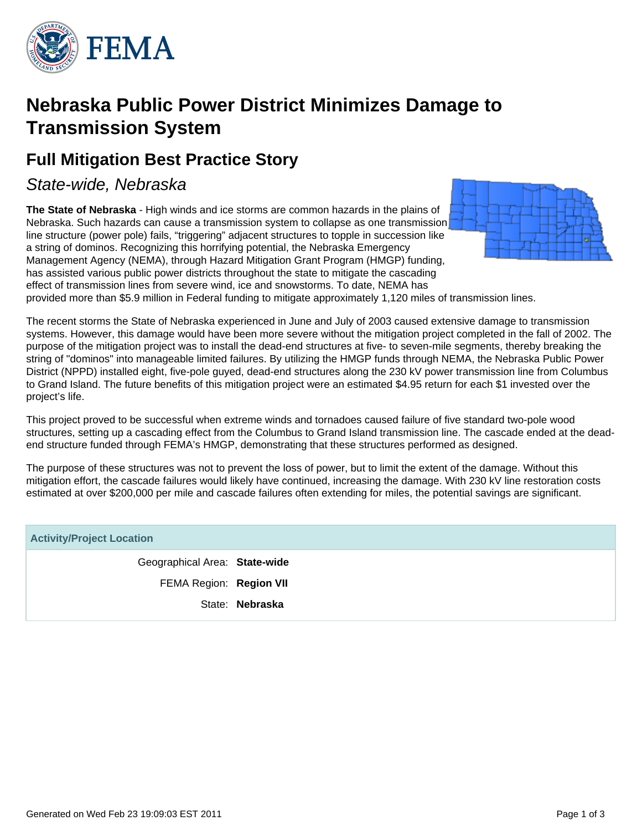

## **Nebraska Public Power District Minimizes Damage to Transmission System**

### **Full Mitigation Best Practice Story**

### State-wide, Nebraska

**The State of Nebraska** - High winds and ice storms are common hazards in the plains of Nebraska. Such hazards can cause a transmission system to collapse as one transmission line structure (power pole) fails, "triggering" adjacent structures to topple in succession like a string of dominos. Recognizing this horrifying potential, the Nebraska Emergency Management Agency (NEMA), through Hazard Mitigation Grant Program (HMGP) funding, has assisted various public power districts throughout the state to mitigate the cascading effect of transmission lines from severe wind, ice and snowstorms. To date, NEMA has provided more than \$5.9 million in Federal funding to mitigate approximately 1,120 miles of transmission lines.



The recent storms the State of Nebraska experienced in June and July of 2003 caused extensive damage to transmission systems. However, this damage would have been more severe without the mitigation project completed in the fall of 2002. The purpose of the mitigation project was to install the dead-end structures at five- to seven-mile segments, thereby breaking the string of "dominos" into manageable limited failures. By utilizing the HMGP funds through NEMA, the Nebraska Public Power District (NPPD) installed eight, five-pole guyed, dead-end structures along the 230 kV power transmission line from Columbus to Grand Island. The future benefits of this mitigation project were an estimated \$4.95 return for each \$1 invested over the project's life.

This project proved to be successful when extreme winds and tornadoes caused failure of five standard two-pole wood structures, setting up a cascading effect from the Columbus to Grand Island transmission line. The cascade ended at the deadend structure funded through FEMA's HMGP, demonstrating that these structures performed as designed.

The purpose of these structures was not to prevent the loss of power, but to limit the extent of the damage. Without this mitigation effort, the cascade failures would likely have continued, increasing the damage. With 230 kV line restoration costs estimated at over \$200,000 per mile and cascade failures often extending for miles, the potential savings are significant.

| <b>Activity/Project Location</b> |                 |
|----------------------------------|-----------------|
| Geographical Area: State-wide    |                 |
| FEMA Region: Region VII          |                 |
|                                  | State: Nebraska |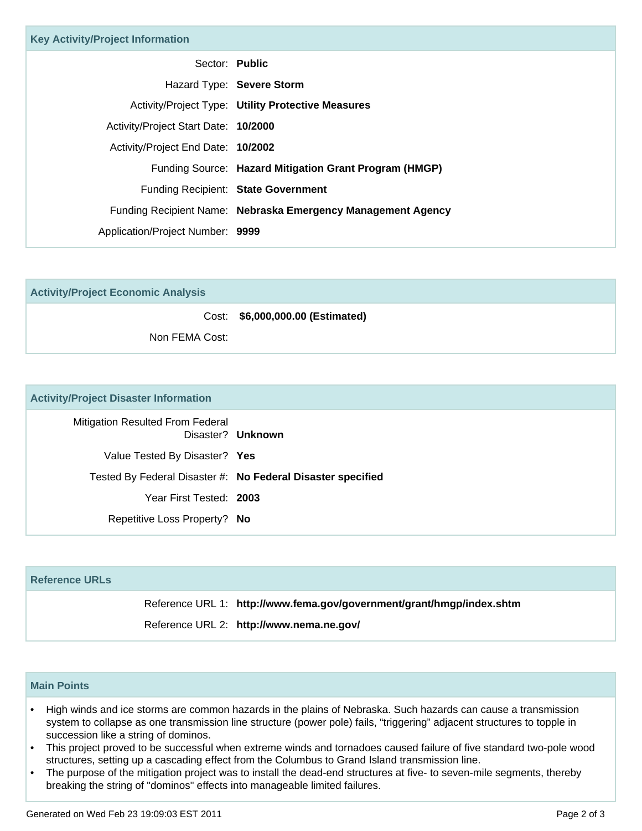| <b>Key Activity/Project Information</b> |                                                              |
|-----------------------------------------|--------------------------------------------------------------|
| Sector: Public                          |                                                              |
|                                         | Hazard Type: Severe Storm                                    |
|                                         | Activity/Project Type: Utility Protective Measures           |
| Activity/Project Start Date: 10/2000    |                                                              |
| Activity/Project End Date: 10/2002      |                                                              |
|                                         | Funding Source: Hazard Mitigation Grant Program (HMGP)       |
|                                         | Funding Recipient: State Government                          |
|                                         | Funding Recipient Name: Nebraska Emergency Management Agency |
| Application/Project Number: 9999        |                                                              |

| <b>Activity/Project Economic Analysis</b> |                                  |
|-------------------------------------------|----------------------------------|
|                                           | Cost: \$6,000,000.00 (Estimated) |
| Non FEMA Cost:                            |                                  |

#### **Activity/Project Disaster Information**

| Disaster? Unknown                                           | <b>Mitigation Resulted From Federal</b> |
|-------------------------------------------------------------|-----------------------------------------|
|                                                             | Value Tested By Disaster? Yes           |
| Tested By Federal Disaster #: No Federal Disaster specified |                                         |
|                                                             | Year First Tested: 2003                 |
|                                                             | Repetitive Loss Property? No            |

# **Reference URLs** Reference URL 1: **http://www.fema.gov/government/grant/hmgp/index.shtm** Reference URL 2: **http://www.nema.ne.gov/**

#### **Main Points**

- High winds and ice storms are common hazards in the plains of Nebraska. Such hazards can cause a transmission system to collapse as one transmission line structure (power pole) fails, "triggering" adjacent structures to topple in succession like a string of dominos.
- This project proved to be successful when extreme winds and tornadoes caused failure of five standard two-pole wood structures, setting up a cascading effect from the Columbus to Grand Island transmission line.
- The purpose of the mitigation project was to install the dead-end structures at five- to seven-mile segments, thereby breaking the string of "dominos" effects into manageable limited failures. •